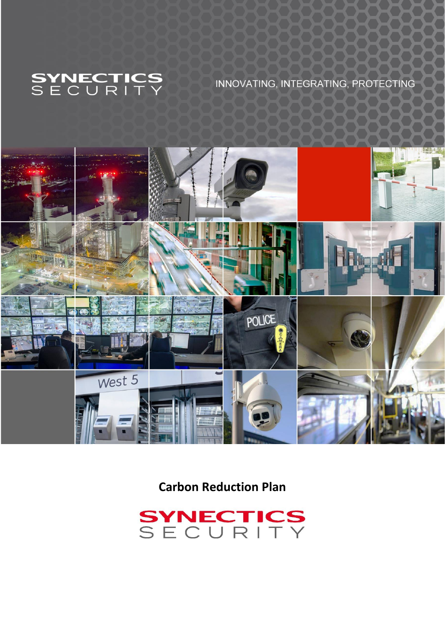

# INNOVATING, INTEGRATING, PROTECTING



**Carbon Reduction Plan**

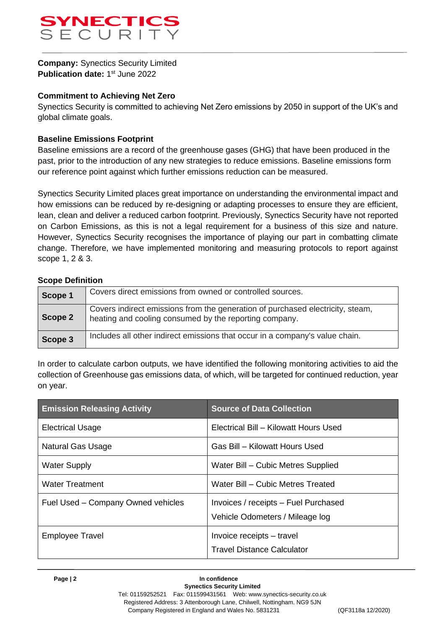

**Company:** Synectics Security Limited **Publication date: 1st June 2022** 

#### **Commitment to Achieving Net Zero**

Synectics Security is committed to achieving Net Zero emissions by 2050 in support of the UK's and global climate goals.

#### **Baseline Emissions Footprint**

Baseline emissions are a record of the greenhouse gases (GHG) that have been produced in the past, prior to the introduction of any new strategies to reduce emissions. Baseline emissions form our reference point against which further emissions reduction can be measured.

Synectics Security Limited places great importance on understanding the environmental impact and how emissions can be reduced by re-designing or adapting processes to ensure they are efficient, lean, clean and deliver a reduced carbon footprint. Previously, Synectics Security have not reported on Carbon Emissions, as this is not a legal requirement for a business of this size and nature. However, Synectics Security recognises the importance of playing our part in combatting climate change. Therefore, we have implemented monitoring and measuring protocols to report against scope 1, 2 & 3.

#### **Scope Definition**

| Scope 1 | Covers direct emissions from owned or controlled sources.                                                                                |
|---------|------------------------------------------------------------------------------------------------------------------------------------------|
| Scope 2 | Covers indirect emissions from the generation of purchased electricity, steam,<br>heating and cooling consumed by the reporting company. |
| Scope 3 | Includes all other indirect emissions that occur in a company's value chain.                                                             |

In order to calculate carbon outputs, we have identified the following monitoring activities to aid the collection of Greenhouse gas emissions data, of which, will be targeted for continued reduction, year on year.

| <b>Emission Releasing Activity</b> | <b>Source of Data Collection</b>                                        |  |
|------------------------------------|-------------------------------------------------------------------------|--|
| <b>Electrical Usage</b>            | Electrical Bill - Kilowatt Hours Used                                   |  |
| Natural Gas Usage                  | Gas Bill – Kilowatt Hours Used                                          |  |
| <b>Water Supply</b>                | Water Bill - Cubic Metres Supplied                                      |  |
| <b>Water Treatment</b>             | Water Bill – Cubic Metres Treated                                       |  |
| Fuel Used - Company Owned vehicles | Invoices / receipts - Fuel Purchased<br>Vehicle Odometers / Mileage log |  |
| <b>Employee Travel</b>             | Invoice receipts – travel<br><b>Travel Distance Calculator</b>          |  |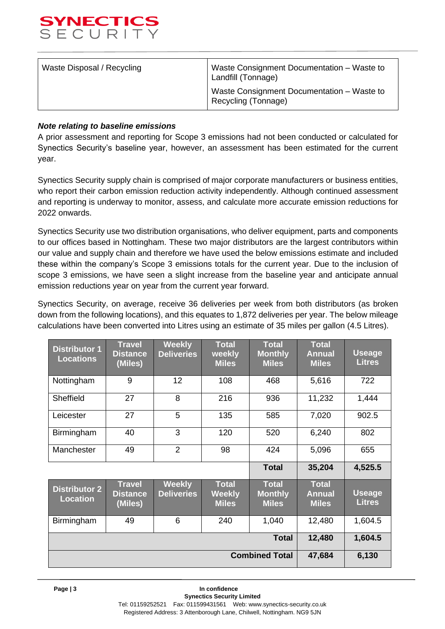

| Waste Disposal / Recycling | Waste Consignment Documentation - Waste to<br>Landfill (Tonnage)  |  |  |
|----------------------------|-------------------------------------------------------------------|--|--|
|                            | Waste Consignment Documentation - Waste to<br>Recycling (Tonnage) |  |  |

#### *Note relating to baseline emissions*

A prior assessment and reporting for Scope 3 emissions had not been conducted or calculated for Synectics Security's baseline year, however, an assessment has been estimated for the current year.

Synectics Security supply chain is comprised of major corporate manufacturers or business entities, who report their carbon emission reduction activity independently. Although continued assessment and reporting is underway to monitor, assess, and calculate more accurate emission reductions for 2022 onwards.

Synectics Security use two distribution organisations, who deliver equipment, parts and components to our offices based in Nottingham. These two major distributors are the largest contributors within our value and supply chain and therefore we have used the below emissions estimate and included these within the company's Scope 3 emissions totals for the current year. Due to the inclusion of scope 3 emissions, we have seen a slight increase from the baseline year and anticipate annual emission reductions year on year from the current year forward.

Synectics Security, on average, receive 36 deliveries per week from both distributors (as broken down from the following locations), and this equates to 1,872 deliveries per year. The below mileage calculations have been converted into Litres using an estimate of 35 miles per gallon (4.5 Litres).

| <b>Distributor 1</b><br><b>Locations</b> | <b>Travel</b><br><b>Distance</b><br>(Miles) | <b>Weekly</b><br><b>Deliveries</b> | <b>Total</b><br>weekly<br><b>Miles</b> | <b>Total</b><br><b>Monthly</b><br><b>Miles</b> | <b>Total</b><br><b>Annual</b><br><b>Miles</b> | <b>Useage</b><br><b>Litres</b> |
|------------------------------------------|---------------------------------------------|------------------------------------|----------------------------------------|------------------------------------------------|-----------------------------------------------|--------------------------------|
| Nottingham                               | 9                                           | 12                                 | 108                                    | 468                                            | 5,616                                         | 722                            |
| Sheffield                                | 27                                          | 8                                  | 216                                    | 936                                            | 11,232                                        | 1,444                          |
| Leicester                                | 27                                          | 5                                  | 135                                    | 585                                            | 7,020                                         | 902.5                          |
| Birmingham                               | 40                                          | 3                                  | 120                                    | 520                                            | 6,240                                         | 802                            |
| Manchester                               | 49                                          | $\overline{2}$                     | 98                                     | 424                                            | 5,096                                         | 655                            |
|                                          |                                             |                                    |                                        | <b>Total</b>                                   | 35,204                                        | 4,525.5                        |
| <b>Distributor 2</b><br><b>Location</b>  | <b>Travel</b><br><b>Distance</b><br>(Miles) | <b>Weekly</b><br><b>Deliveries</b> | <b>Total</b><br>Weekly<br><b>Miles</b> | <b>Total</b><br><b>Monthly</b><br><b>Miles</b> | <b>Total</b><br><b>Annual</b><br><b>Miles</b> | <b>Useage</b><br><b>Litres</b> |
| Birmingham                               | 49                                          | 6                                  | 240                                    | 1,040                                          | 12,480                                        | 1,604.5                        |
| <b>Total</b>                             |                                             |                                    |                                        | 12,480                                         | 1,604.5                                       |                                |
| <b>Combined Total</b>                    |                                             |                                    |                                        | 47,684                                         | 6,130                                         |                                |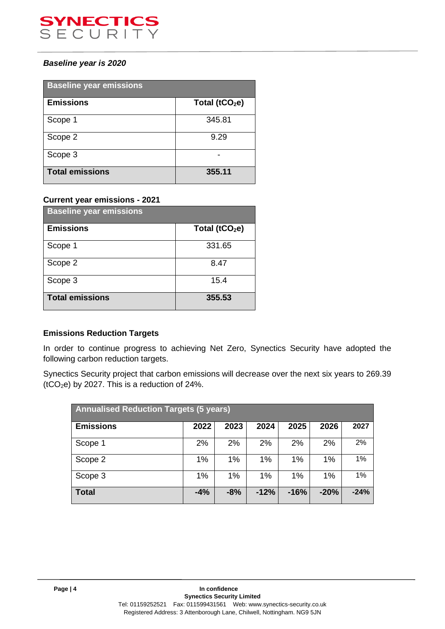

# *Baseline year is 2020*

| <b>Baseline year emissions</b> |                            |  |  |
|--------------------------------|----------------------------|--|--|
| <b>Emissions</b>               | Total (tCO <sub>2</sub> e) |  |  |
| Scope 1                        | 345.81                     |  |  |
| Scope 2                        | 9.29                       |  |  |
| Scope 3                        |                            |  |  |
| <b>Total emissions</b>         | 355.11                     |  |  |

#### **Current year emissions - 2021**

| <b>Baseline year emissions</b> |                   |  |  |
|--------------------------------|-------------------|--|--|
| <b>Emissions</b>               | Total ( $tCO2e$ ) |  |  |
| Scope 1                        | 331.65            |  |  |
| Scope 2                        | 8.47              |  |  |
| Scope 3                        | 15.4              |  |  |
| <b>Total emissions</b>         | 355.53            |  |  |

# **Emissions Reduction Targets**

In order to continue progress to achieving Net Zero, Synectics Security have adopted the following carbon reduction targets.

Synectics Security project that carbon emissions will decrease over the next six years to 269.39  $(tCO<sub>2</sub>e)$  by 2027. This is a reduction of 24%.

| <b>Annualised Reduction Targets (5 years)</b> |       |       |        |        |        |        |
|-----------------------------------------------|-------|-------|--------|--------|--------|--------|
| <b>Emissions</b>                              | 2022  | 2023  | 2024   | 2025   | 2026   | 2027   |
| Scope 1                                       | 2%    | 2%    | 2%     | 2%     | 2%     | 2%     |
| Scope 2                                       | 1%    | 1%    | 1%     | 1%     | 1%     | 1%     |
| Scope 3                                       | 1%    | 1%    | 1%     | 1%     | $1\%$  | 1%     |
| <b>Total</b>                                  | $-4%$ | $-8%$ | $-12%$ | $-16%$ | $-20%$ | $-24%$ |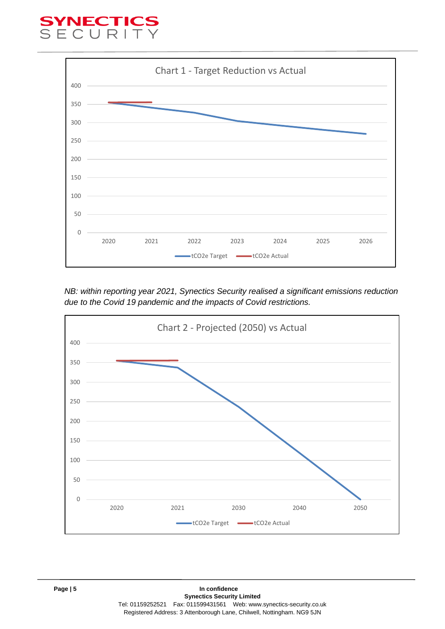# YNECTI<br>E C U R I



*NB: within reporting year 2021, Synectics Security realised a significant emissions reduction due to the Covid 19 pandemic and the impacts of Covid restrictions.*

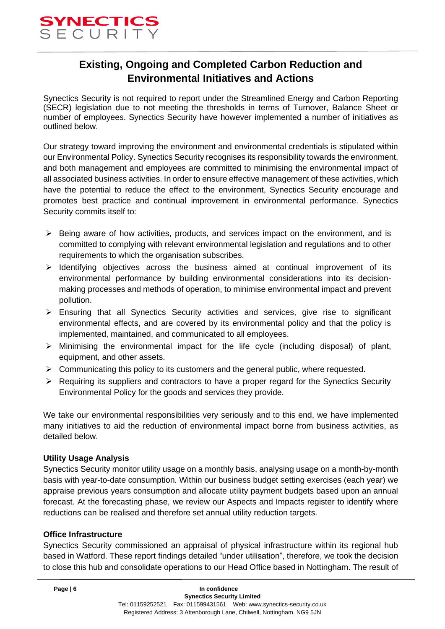

# **Existing, Ongoing and Completed Carbon Reduction and Environmental Initiatives and Actions**

Synectics Security is not required to report under the Streamlined Energy and Carbon Reporting (SECR) legislation due to not meeting the thresholds in terms of Turnover, Balance Sheet or number of employees. Synectics Security have however implemented a number of initiatives as outlined below.

Our strategy toward improving the environment and environmental credentials is stipulated within our Environmental Policy. Synectics Security recognises its responsibility towards the environment, and both management and employees are committed to minimising the environmental impact of all associated business activities. In order to ensure effective management of these activities, which have the potential to reduce the effect to the environment, Synectics Security encourage and promotes best practice and continual improvement in environmental performance. Synectics Security commits itself to:

- ➢ Being aware of how activities, products, and services impact on the environment, and is committed to complying with relevant environmental legislation and regulations and to other requirements to which the organisation subscribes.
- $\geq$  Identifying objectives across the business aimed at continual improvement of its environmental performance by building environmental considerations into its decisionmaking processes and methods of operation, to minimise environmental impact and prevent pollution.
- ➢ Ensuring that all Synectics Security activities and services, give rise to significant environmental effects, and are covered by its environmental policy and that the policy is implemented, maintained, and communicated to all employees.
- $\triangleright$  Minimising the environmental impact for the life cycle (including disposal) of plant, equipment, and other assets.
- ➢ Communicating this policy to its customers and the general public, where requested.
- $\triangleright$  Requiring its suppliers and contractors to have a proper regard for the Synectics Security Environmental Policy for the goods and services they provide.

We take our environmental responsibilities very seriously and to this end, we have implemented many initiatives to aid the reduction of environmental impact borne from business activities, as detailed below.

#### **Utility Usage Analysis**

Synectics Security monitor utility usage on a monthly basis, analysing usage on a month-by-month basis with year-to-date consumption. Within our business budget setting exercises (each year) we appraise previous years consumption and allocate utility payment budgets based upon an annual forecast. At the forecasting phase, we review our Aspects and Impacts register to identify where reductions can be realised and therefore set annual utility reduction targets.

#### **Office Infrastructure**

Synectics Security commissioned an appraisal of physical infrastructure within its regional hub based in Watford. These report findings detailed "under utilisation", therefore, we took the decision to close this hub and consolidate operations to our Head Office based in Nottingham. The result of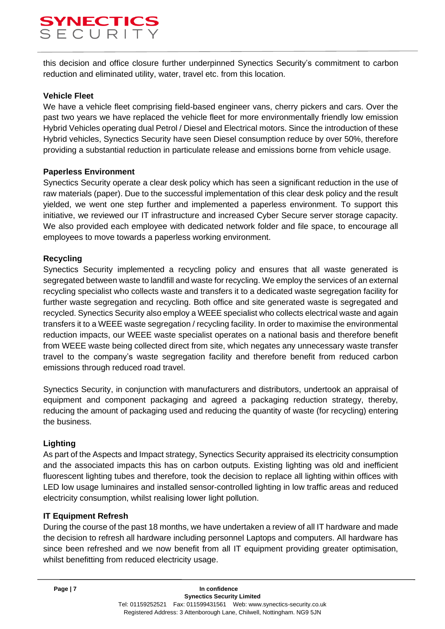# SYNECTIC<br>SECURIT

this decision and office closure further underpinned Synectics Security's commitment to carbon reduction and eliminated utility, water, travel etc. from this location.

# **Vehicle Fleet**

We have a vehicle fleet comprising field-based engineer vans, cherry pickers and cars. Over the past two years we have replaced the vehicle fleet for more environmentally friendly low emission Hybrid Vehicles operating dual Petrol / Diesel and Electrical motors. Since the introduction of these Hybrid vehicles, Synectics Security have seen Diesel consumption reduce by over 50%, therefore providing a substantial reduction in particulate release and emissions borne from vehicle usage.

## **Paperless Environment**

Synectics Security operate a clear desk policy which has seen a significant reduction in the use of raw materials (paper). Due to the successful implementation of this clear desk policy and the result yielded, we went one step further and implemented a paperless environment. To support this initiative, we reviewed our IT infrastructure and increased Cyber Secure server storage capacity. We also provided each employee with dedicated network folder and file space, to encourage all employees to move towards a paperless working environment.

## **Recycling**

Synectics Security implemented a recycling policy and ensures that all waste generated is segregated between waste to landfill and waste for recycling. We employ the services of an external recycling specialist who collects waste and transfers it to a dedicated waste segregation facility for further waste segregation and recycling. Both office and site generated waste is segregated and recycled. Synectics Security also employ a WEEE specialist who collects electrical waste and again transfers it to a WEEE waste segregation / recycling facility. In order to maximise the environmental reduction impacts, our WEEE waste specialist operates on a national basis and therefore benefit from WEEE waste being collected direct from site, which negates any unnecessary waste transfer travel to the company's waste segregation facility and therefore benefit from reduced carbon emissions through reduced road travel.

Synectics Security, in conjunction with manufacturers and distributors, undertook an appraisal of equipment and component packaging and agreed a packaging reduction strategy, thereby, reducing the amount of packaging used and reducing the quantity of waste (for recycling) entering the business.

# **Lighting**

As part of the Aspects and Impact strategy, Synectics Security appraised its electricity consumption and the associated impacts this has on carbon outputs. Existing lighting was old and inefficient fluorescent lighting tubes and therefore, took the decision to replace all lighting within offices with LED low usage luminaires and installed sensor-controlled lighting in low traffic areas and reduced electricity consumption, whilst realising lower light pollution.

#### **IT Equipment Refresh**

During the course of the past 18 months, we have undertaken a review of all IT hardware and made the decision to refresh all hardware including personnel Laptops and computers. All hardware has since been refreshed and we now benefit from all IT equipment providing greater optimisation, whilst benefitting from reduced electricity usage.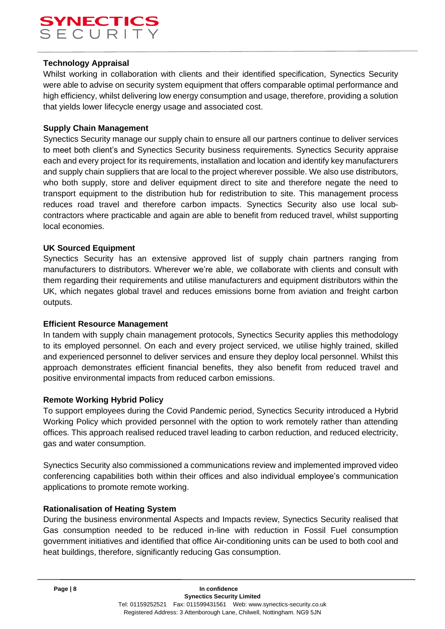# SYNECTIC<br>SECURIT

# **Technology Appraisal**

Whilst working in collaboration with clients and their identified specification, Synectics Security were able to advise on security system equipment that offers comparable optimal performance and high efficiency, whilst delivering low energy consumption and usage, therefore, providing a solution that yields lower lifecycle energy usage and associated cost.

## **Supply Chain Management**

Synectics Security manage our supply chain to ensure all our partners continue to deliver services to meet both client's and Synectics Security business requirements. Synectics Security appraise each and every project for its requirements, installation and location and identify key manufacturers and supply chain suppliers that are local to the project wherever possible. We also use distributors, who both supply, store and deliver equipment direct to site and therefore negate the need to transport equipment to the distribution hub for redistribution to site. This management process reduces road travel and therefore carbon impacts. Synectics Security also use local subcontractors where practicable and again are able to benefit from reduced travel, whilst supporting local economies.

## **UK Sourced Equipment**

Synectics Security has an extensive approved list of supply chain partners ranging from manufacturers to distributors. Wherever we're able, we collaborate with clients and consult with them regarding their requirements and utilise manufacturers and equipment distributors within the UK, which negates global travel and reduces emissions borne from aviation and freight carbon outputs.

#### **Efficient Resource Management**

In tandem with supply chain management protocols, Synectics Security applies this methodology to its employed personnel. On each and every project serviced, we utilise highly trained, skilled and experienced personnel to deliver services and ensure they deploy local personnel. Whilst this approach demonstrates efficient financial benefits, they also benefit from reduced travel and positive environmental impacts from reduced carbon emissions.

#### **Remote Working Hybrid Policy**

To support employees during the Covid Pandemic period, Synectics Security introduced a Hybrid Working Policy which provided personnel with the option to work remotely rather than attending offices. This approach realised reduced travel leading to carbon reduction, and reduced electricity, gas and water consumption.

Synectics Security also commissioned a communications review and implemented improved video conferencing capabilities both within their offices and also individual employee's communication applications to promote remote working.

#### **Rationalisation of Heating System**

During the business environmental Aspects and Impacts review, Synectics Security realised that Gas consumption needed to be reduced in-line with reduction in Fossil Fuel consumption government initiatives and identified that office Air-conditioning units can be used to both cool and heat buildings, therefore, significantly reducing Gas consumption.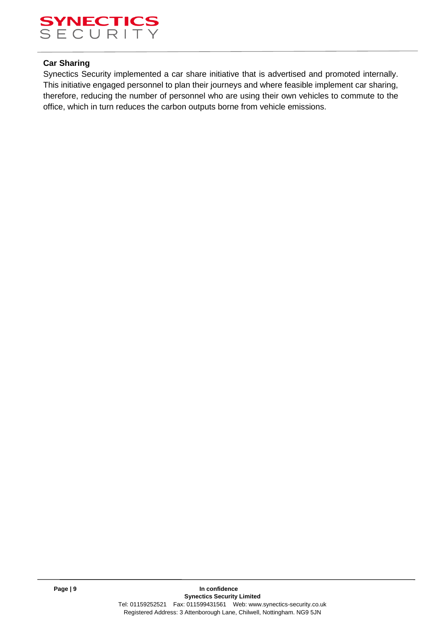

## **Car Sharing**

Synectics Security implemented a car share initiative that is advertised and promoted internally. This initiative engaged personnel to plan their journeys and where feasible implement car sharing, therefore, reducing the number of personnel who are using their own vehicles to commute to the office, which in turn reduces the carbon outputs borne from vehicle emissions.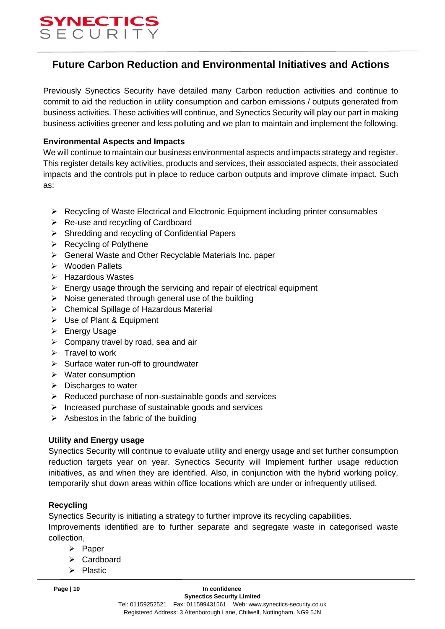

# **Future Carbon Reduction and Environmental Initiatives and Actions**

Previously Synectics Security have detailed many Carbon reduction activities and continue to commit to aid the reduction in utility consumption and carbon emissions / outputs generated from business activities. These activities will continue, and Synectics Security will play our part in making business activities greener and less polluting and we plan to maintain and implement the following.

## **Environmental Aspects and Impacts**

We will continue to maintain our business environmental aspects and impacts strategy and register. This register details key activities, products and services, their associated aspects, their associated impacts and the controls put in place to reduce carbon outputs and improve climate impact. Such as:

- ➢ Recycling of Waste Electrical and Electronic Equipment including printer consumables
- ➢ Re‐use and recycling of Cardboard
- ➢ Shredding and recycling of Confidential Papers
- ➢ Recycling of Polythene
- ➢ General Waste and Other Recyclable Materials Inc. paper
- ➢ Wooden Pallets
- ➢ Hazardous Wastes
- $\triangleright$  Energy usage through the servicing and repair of electrical equipment
- $\triangleright$  Noise generated through general use of the building
- ➢ Chemical Spillage of Hazardous Material
- ➢ Use of Plant & Equipment
- ➢ Energy Usage
- $\triangleright$  Company travel by road, sea and air
- $\triangleright$  Travel to work
- ➢ Surface water run‐off to groundwater
- ➢ Water consumption
- ➢ Discharges to water
- ➢ Reduced purchase of non-sustainable goods and services
- ➢ Increased purchase of sustainable goods and services
- $\triangleright$  Asbestos in the fabric of the building

#### **Utility and Energy usage**

Synectics Security will continue to evaluate utility and energy usage and set further consumption reduction targets year on year. Synectics Security will Implement further usage reduction initiatives, as and when they are identified. Also, in conjunction with the hybrid working policy, temporarily shut down areas within office locations which are under or infrequently utilised.

# **Recycling**

Synectics Security is initiating a strategy to further improve its recycling capabilities. Improvements identified are to further separate and segregate waste in categorised waste collection,

- ➢ Paper
- ➢ Cardboard
- ➢ Plastic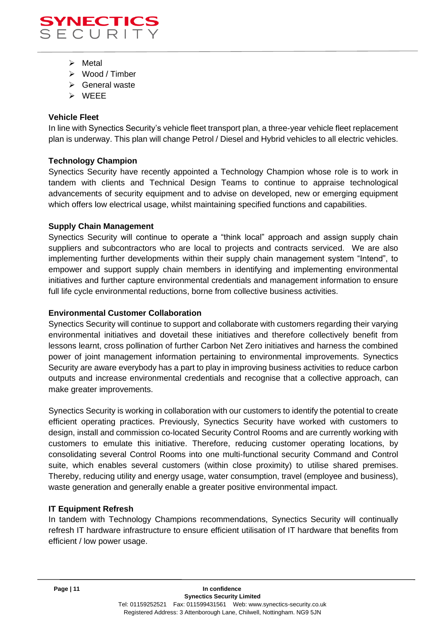

- ➢ Metal
- ➢ Wood / Timber
- ➢ General waste
- ➢ WEEE

# **Vehicle Fleet**

In line with Synectics Security's vehicle fleet transport plan, a three-year vehicle fleet replacement plan is underway. This plan will change Petrol / Diesel and Hybrid vehicles to all electric vehicles.

## **Technology Champion**

Synectics Security have recently appointed a Technology Champion whose role is to work in tandem with clients and Technical Design Teams to continue to appraise technological advancements of security equipment and to advise on developed, new or emerging equipment which offers low electrical usage, whilst maintaining specified functions and capabilities.

#### **Supply Chain Management**

Synectics Security will continue to operate a "think local" approach and assign supply chain suppliers and subcontractors who are local to projects and contracts serviced. We are also implementing further developments within their supply chain management system "Intend", to empower and support supply chain members in identifying and implementing environmental initiatives and further capture environmental credentials and management information to ensure full life cycle environmental reductions, borne from collective business activities.

#### **Environmental Customer Collaboration**

Synectics Security will continue to support and collaborate with customers regarding their varying environmental initiatives and dovetail these initiatives and therefore collectively benefit from lessons learnt, cross pollination of further Carbon Net Zero initiatives and harness the combined power of joint management information pertaining to environmental improvements. Synectics Security are aware everybody has a part to play in improving business activities to reduce carbon outputs and increase environmental credentials and recognise that a collective approach, can make greater improvements.

Synectics Security is working in collaboration with our customers to identify the potential to create efficient operating practices. Previously, Synectics Security have worked with customers to design, install and commission co-located Security Control Rooms and are currently working with customers to emulate this initiative. Therefore, reducing customer operating locations, by consolidating several Control Rooms into one multi-functional security Command and Control suite, which enables several customers (within close proximity) to utilise shared premises. Thereby, reducing utility and energy usage, water consumption, travel (employee and business), waste generation and generally enable a greater positive environmental impact.

# **IT Equipment Refresh**

In tandem with Technology Champions recommendations, Synectics Security will continually refresh IT hardware infrastructure to ensure efficient utilisation of IT hardware that benefits from efficient / low power usage.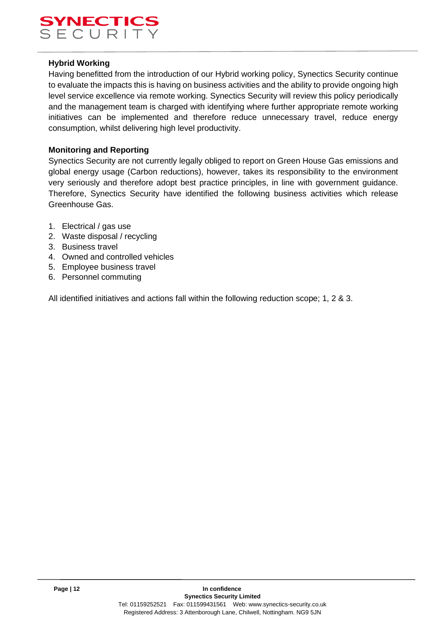

#### **Hybrid Working**

Having benefitted from the introduction of our Hybrid working policy, Synectics Security continue to evaluate the impacts this is having on business activities and the ability to provide ongoing high level service excellence via remote working. Synectics Security will review this policy periodically and the management team is charged with identifying where further appropriate remote working initiatives can be implemented and therefore reduce unnecessary travel, reduce energy consumption, whilst delivering high level productivity.

## **Monitoring and Reporting**

Synectics Security are not currently legally obliged to report on Green House Gas emissions and global energy usage (Carbon reductions), however, takes its responsibility to the environment very seriously and therefore adopt best practice principles, in line with government guidance. Therefore, Synectics Security have identified the following business activities which release Greenhouse Gas.

- 1. Electrical / gas use
- 2. Waste disposal / recycling
- 3. Business travel
- 4. Owned and controlled vehicles
- 5. Employee business travel
- 6. Personnel commuting

All identified initiatives and actions fall within the following reduction scope; 1, 2 & 3.